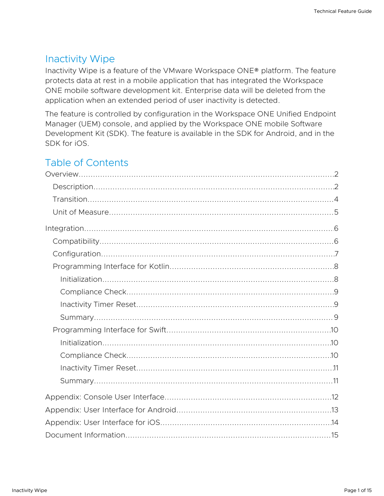## Inactivity Wipe

Inactivity Wipe is a feature of the VMware Workspace ONE® platform. The feature protects data at rest in a mobile application that has integrated the Workspace ONE mobile software development kit. Enterprise data will be deleted from the application when an extended period of user inactivity is detected.

The feature is controlled by configuration in the Workspace ONE Unified Endpoint Manager (UEM) console, and applied by the Workspace ONE mobile Software Development Kit (SDK). The feature is available in the SDK for Android, and in the SDK for iOS.

# Table of Contents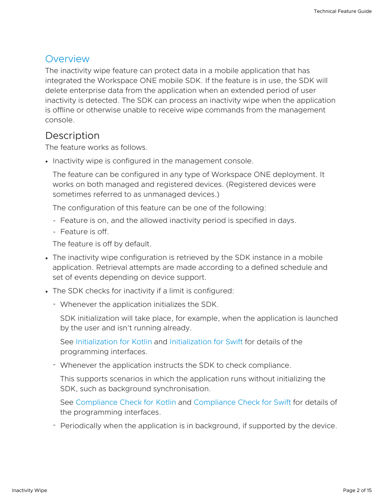#### <span id="page-1-0"></span>**Overview**

The inactivity wipe feature can protect data in a mobile application that has integrated the Workspace ONE mobile SDK. If the feature is in use, the SDK will delete enterprise data from the application when an extended period of user inactivity is detected. The SDK can process an inactivity wipe when the application is offline or otherwise unable to receive wipe commands from the management console.

#### <span id="page-1-1"></span>**Description**

The feature works as follows.

• Inactivity wipe is configured in the management console.

The feature can be configured in any type of Workspace ONE deployment. It works on both managed and registered devices. (Registered devices were sometimes referred to as unmanaged devices.)

The configuration of this feature can be one of the following:

- Feature is on, and the allowed inactivity period is specified in days.
- Feature is off.

The feature is off by default.

- The inactivity wipe configuration is retrieved by the SDK instance in a mobile application. Retrieval attempts are made according to a defined schedule and set of events depending on device support.
- The SDK checks for inactivity if a limit is configured:
	- Whenever the application initializes the SDK. -

SDK initialization will take place, for example, when the application is launched by the user and isn't running already.

See [Initialization](#page-7-1) for Kotlin and [Initialization](#page-9-1) for Swift for details of the programming interfaces.

Whenever the application instructs the SDK to check compliance. -

This supports scenarios in which the application runs without initializing the SDK, such as background synchronisation.

See [Compliance](#page-8-0) Check for Kotlin and [Compliance](#page-9-2) Check for Swift for details of the programming interfaces.

- Periodically when the application is in background, if supported by the device.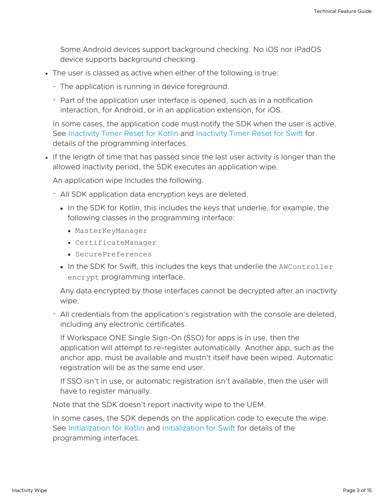Some Android devices support background checking. No iOS nor iPadOS device supports background checking.

- The user is classed as active when either of the following is true:
	- The application is running in device foreground.
	- Part of the application user interface is opened, such as in a notification interaction, for Android, or in an application extension, for iOS.

In some cases, the application code must notify the SDK when the user is active. See [Inactivity](#page-8-1) Timer Reset for Kotlin and [Inactivity](#page-10-0) Timer Reset for Swift for details of the programming interfaces.

If the length of time that has passed since the last user activity is longer than the allowed inactivity period, the SDK executes an application wipe.

An application wipe includes the following.

- All SDK application data encryption keys are deleted.
	- In the SDK for Kotlin, this includes the keys that underlie, for example, the following classes in the programming interface:
		- MasterKeyManager
		- CertificateManager
		- SecurePreferences
	- In the SDK for Swift, this includes the keys that underlie the AWController encrypt programming interface.

Any data encrypted by those interfaces cannot be decrypted after an inactivity wipe.

- All credentials from the application's registration with the console are deleted, including any electronic certificates.

If Workspace ONE Single Sign-On (SSO) for apps is in use, then the application will attempt to re-register automatically. Another app, such as the anchor app, must be available and mustn't itself have been wiped. Automatic registration will be as the same end user.

If SSO isn't in use, or automatic registration isn't available, then the user will have to register manually.

Note that the SDK doesn't report inactivity wipe to the UEM.

In some cases, the SDK depends on the application code to execute the wipe. See [Initialization](#page-7-1) for Kotlin and [Initialization](#page-9-1) for Swift for details of the programming interfaces.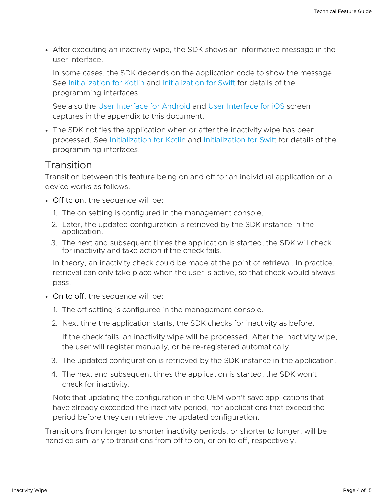After executing an inactivity wipe, the SDK shows an informative message in the user interface.

In some cases, the SDK depends on the application code to show the message. See [Initialization](#page-7-1) for Kotlin and [Initialization](#page-9-1) for Swift for details of the programming interfaces.

See also the User [Interface](#page-12-0) for Android and User [Interface](#page-13-0) for iOS screen captures in the appendix to this document.

• The SDK notifies the application when or after the inactivity wipe has been processed. See [Initialization](#page-7-1) for Kotlin and [Initialization](#page-9-1) for Swift for details of the programming interfaces.

#### <span id="page-3-0"></span>**Transition**

Transition between this feature being on and off for an individual application on a device works as follows.

- Off to on, the sequence will be:
	- 1. The on setting is configured in the management console.
	- 2. Later, the updated configuration is retrieved by the SDK instance in the application.
	- 3. The next and subsequent times the application is started, the SDK will check for inactivity and take action if the check fails.

In theory, an inactivity check could be made at the point of retrieval. In practice, retrieval can only take place when the user is active, so that check would always pass.

- On to off, the sequence will be:
	- 1. The off setting is configured in the management console.
	- 2. Next time the application starts, the SDK checks for inactivity as before.

If the check fails, an inactivity wipe will be processed. After the inactivity wipe, the user will register manually, or be re-registered automatically.

- 3. The updated configuration is retrieved by the SDK instance in the application.
- 4. The next and subsequent times the application is started, the SDK won't check for inactivity.

Note that updating the configuration in the UEM won't save applications that have already exceeded the inactivity period, nor applications that exceed the period before they can retrieve the updated configuration.

Transitions from longer to shorter inactivity periods, or shorter to longer, will be handled similarly to transitions from off to on, or on to off, respectively.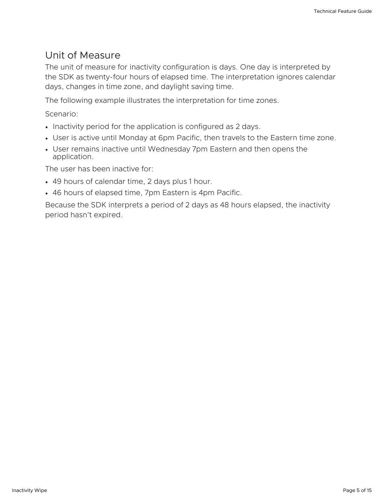#### <span id="page-4-0"></span>Unit of Measure

The unit of measure for inactivity configuration is days. One day is interpreted by the SDK as twenty-four hours of elapsed time. The interpretation ignores calendar days, changes in time zone, and daylight saving time.

The following example illustrates the interpretation for time zones.

Scenario:

- Inactivity period for the application is configured as 2 days.
- User is active until Monday at 6pm Pacific, then travels to the Eastern time zone.
- User remains inactive until Wednesday 7pm Eastern and then opens the application.

The user has been inactive for:

- 49 hours of calendar time, 2 days plus 1 hour.
- 46 hours of elapsed time, 7pm Eastern is 4pm Pacific.

Because the SDK interprets a period of 2 days as 48 hours elapsed, the inactivity period hasn't expired.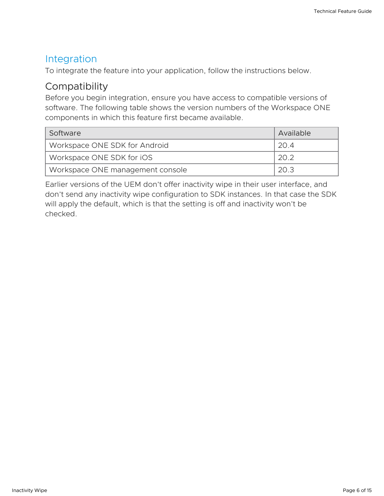#### <span id="page-5-0"></span>Integration

To integrate the feature into your application, follow the instructions below.

## <span id="page-5-1"></span>**Compatibility**

Before you begin integration, ensure you have access to compatible versions of software. The following table shows the version numbers of the Workspace ONE components in which this feature first became available.

| Software                         | Available |
|----------------------------------|-----------|
| Workspace ONE SDK for Android    | -20-4     |
| Workspace ONE SDK for iOS        | 20.2      |
| Workspace ONE management console | 20.3      |

Earlier versions of the UEM don't offer inactivity wipe in their user interface, and don't send any inactivity wipe configuration to SDK instances. In that case the SDK will apply the default, which is that the setting is off and inactivity won't be checked.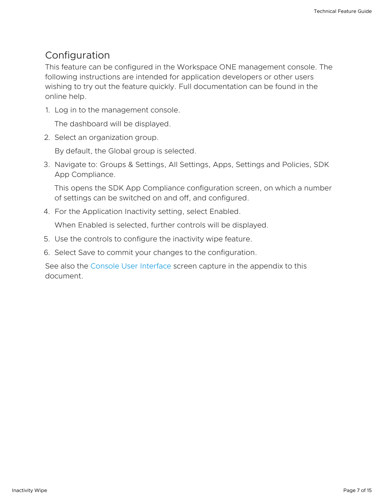## <span id="page-6-0"></span>Configuration

This feature can be configured in the Workspace ONE management console. The following instructions are intended for application developers or other users wishing to try out the feature quickly. Full documentation can be found in the online help.

1. Log in to the management console.

The dashboard will be displayed.

2. Select an organization group.

By default, the Global group is selected.

3. Navigate to: Groups & Settings, All Settings, Apps, Settings and Policies, SDK App Compliance.

This opens the SDK App Compliance configuration screen, on which a number of settings can be switched on and off, and configured.

4. For the Application Inactivity setting, select Enabled.

When Enabled is selected, further controls will be displayed.

- 5. Use the controls to configure the inactivity wipe feature.
- 6. Select Save to commit your changes to the configuration.

See also the Console User [Interface](#page-11-0) screen capture in the appendix to this document.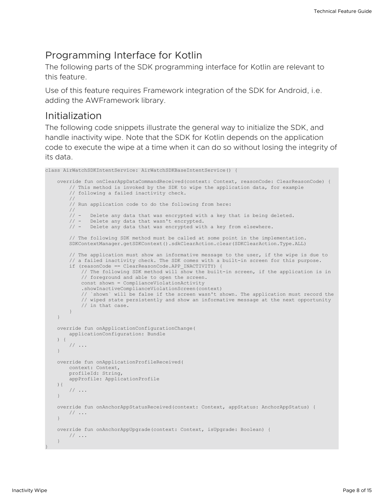#### <span id="page-7-0"></span>Programming Interface for Kotlin

The following parts of the SDK programming interface for Kotlin are relevant to this feature.

Use of this feature requires Framework integration of the SDK for Android, i.e. adding the AWFramework library.

#### <span id="page-7-1"></span>Initialization

The following code snippets illustrate the general way to initialize the SDK, and handle inactivity wipe. Note that the SDK for Kotlin depends on the application code to execute the wipe at a time when it can do so without losing the integrity of its data.

```
class AirWatchSDKIntentService: AirWatchSDKBaseIntentService() {
    override fun onClearAppDataCommandReceived(context: Context, reasonCode: ClearReasonCode) {
        // This method is invoked by the SDK to wipe the application data, for example
        // following a failed inactivity check.
        //
       // Run application code to do the following from here:
       //<br>// –
               Delete any data that was encrypted with a key that is being deleted.
        // - Delete any data that wasn't encrypted.
        // - Delete any data that was encrypted with a key from elsewhere.
        // The following SDK method must be called at some point in the implementation.
       SDKContextManager.getSDKContext().sdkClearAction.clear(SDKClearAction.Type.ALL)
       // The application must show an informative message to the user, if the wipe is due to
        // a failed inactivity check. The SDK comes with a built-in screen for this purpose.
        if (reasonCode == ClearReasonCode.APP_INACTIVITY) {
            // The following SDK method will show the built-in screen, if the application is in
            // foreground and able to open the screen.
           const shown = ComplianceViolationActivity
            .showInactiveComplianceViolationScreen(context)
            // `shown` will be false if the screen wasn't shown. The application must record the
            // wiped state persistently and show an informative message at the next opportunity
            // in that case.
       }
    }
   override fun onApplicationConfigurationChange(
       applicationConfiguration: Bundle
   ) {
        // ...
    }
   override fun onApplicationProfileReceived(
       context: Context,
       profileId: String,
       appProfile: ApplicationProfile
   ){
        // ...
    }
   override fun onAnchorAppStatusReceived(context: Context, appStatus: AnchorAppStatus) {
       // ...
    }
   override fun onAnchorAppUpgrade(context: Context, isUpgrade: Boolean) {
       // ...
    }
}
```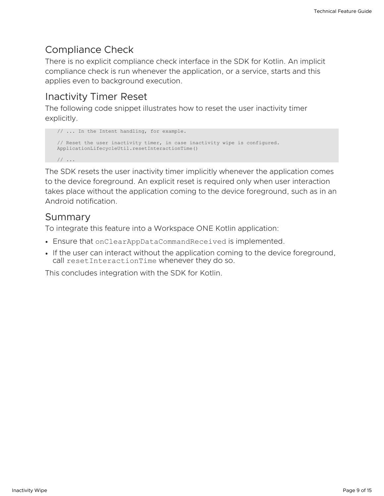## <span id="page-8-0"></span>Compliance Check

There is no explicit compliance check interface in the SDK for Kotlin. An implicit compliance check is run whenever the application, or a service, starts and this applies even to background execution.

## <span id="page-8-1"></span>Inactivity Timer Reset

The following code snippet illustrates how to reset the user inactivity timer explicitly.

```
// ... In the Intent handling, for example.
// Reset the user inactivity timer, in case inactivity wipe is configured.
ApplicationLifecycleUtil.resetInteractionTime()
// ...
```
The SDK resets the user inactivity timer implicitly whenever the application comes to the device foreground. An explicit reset is required only when user interaction takes place without the application coming to the device foreground, such as in an Android notification.

#### <span id="page-8-2"></span>Summary

To integrate this feature into a Workspace ONE Kotlin application:

- Ensure that onClearAppDataCommandReceived is implemented.
- If the user can interact without the application coming to the device foreground, call resetInteractionTime whenever they do so.

This concludes integration with the SDK for Kotlin.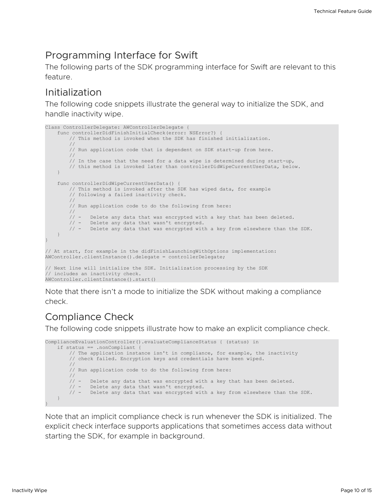## <span id="page-9-0"></span>Programming Interface for Swift

The following parts of the SDK programming interface for Swift are relevant to this feature.

## <span id="page-9-1"></span>Initialization

The following code snippets illustrate the general way to initialize the SDK, and handle inactivity wipe.

```
Class ControllerDelegate: AWControllerDelegate {
   func controllerDidFinishInitialCheck(error: NSError?) {
        // This method is invoked when the SDK has finished initialization.
       //
       // Run application code that is dependent on SDK start-up from here.
        //
       // In the case that the need for a data wipe is determined during start-up,
        // this method is invoked later than controllerDidWipeCurrentUserData, below.
    }
    func controllerDidWipeCurrentUserData() {
       // This method is invoked after the SDK has wiped data, for example
        // following a failed inactivity check.
       //
       // Run application code to do the following from here:
       //
       // - Delete any data that was encrypted with a key that has been deleted.
        // - Delete any data that wasn't encrypted.
        // - Delete any data that was encrypted with a key from elsewhere than the SDK.
    }
}
// At start, for example in the didFinishLaunchingWithOptions implementation:
AWController.clientInstance().delegate = controllerDelegate;
// Next line will initialize the SDK. Initialization processing by the SDK
// includes an inactivity check.
AWController.clientInstance().start()
```
Note that there isn't a mode to initialize the SDK without making a compliance check.

## <span id="page-9-2"></span>Compliance Check

The following code snippets illustrate how to make an explicit compliance check.

```
ComplianceEvaluationController().evaluateComplianceStatus { (status) in
   if status == .nonCompliant {
       // The application instance isn't in compliance, for example, the inactivity
       // check failed. Encryption keys and credentials have been wiped.
       //
       // Run application code to do the following from here:
       \frac{1}{11}// - Delete any data that was encrypted with a key that has been deleted.
        // - Delete any data that wasn't encrypted.
        // - Delete any data that was encrypted with a key from elsewhere than the SDK.
   }
}
```
Note that an implicit compliance check is run whenever the SDK is initialized. The explicit check interface supports applications that sometimes access data without starting the SDK, for example in background.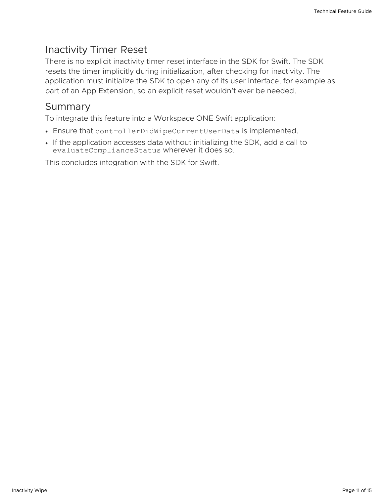## <span id="page-10-0"></span>Inactivity Timer Reset

There is no explicit inactivity timer reset interface in the SDK for Swift. The SDK resets the timer implicitly during initialization, after checking for inactivity. The application must initialize the SDK to open any of its user interface, for example as part of an App Extension, so an explicit reset wouldn't ever be needed.

#### <span id="page-10-1"></span>**Summary**

To integrate this feature into a Workspace ONE Swift application:

- Ensure that controllerDidWipeCurrentUserData is implemented.
- If the application accesses data without initializing the SDK, add a call to evaluateComplianceStatus wherever it does so.

This concludes integration with the SDK for Swift.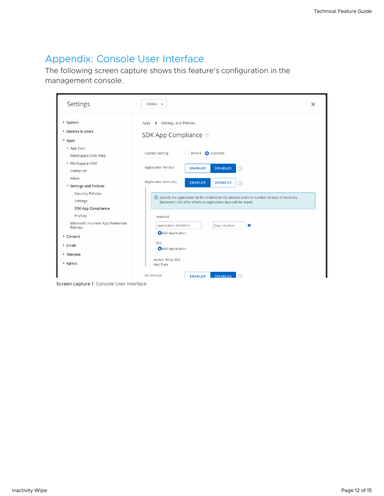## <span id="page-11-0"></span>Appendix: Console User Interface

The following screen capture shows this feature's configuration in the management console.

| Settings                                                           | $Global \sim$                                                                                                                                                    | $\times$ |
|--------------------------------------------------------------------|------------------------------------------------------------------------------------------------------------------------------------------------------------------|----------|
| > System<br>> Devices & Users<br>$~\times$ Apps                    | Apps > Settings and Policies<br>SDK App Compliance 2                                                                                                             |          |
| > App Scan<br>Workspace ONE Web                                    | <b>Current Setting</b><br>nherit O Override                                                                                                                      |          |
| > Workspace ONE<br>Container                                       | Application Version<br><b>DISABLED</b><br><b>ENABLED</b><br>(i)                                                                                                  |          |
| Inbox<br>v Settings and Policies                                   | Application Inactivity<br><b>ENABLED</b><br><b>DISABLED</b><br>(i)                                                                                               |          |
| Security Policies<br>Settings                                      | (i) Specify the application ID for Android or iOS devices and the number of days of inactivity<br>(between 1-90) after which its application data will be wiped. |          |
| SDK App Compliance<br>Profiles<br>Microsoft Intune® App Protection | Android                                                                                                                                                          |          |
| Policies<br>> Content                                              | ×<br>Application Identifier<br>Days Inactive<br><b>C</b> Add Application                                                                                         |          |
| > Email<br>> Telecom                                               | iOS<br><b>C</b> Add Application                                                                                                                                  |          |
| > Admin                                                            | Action: Wipe SDK<br>App Data                                                                                                                                     |          |
|                                                                    | OS Version<br><b>DISABLED</b><br><b>ENABLED</b>                                                                                                                  |          |

Screen capture 1: Console User Interface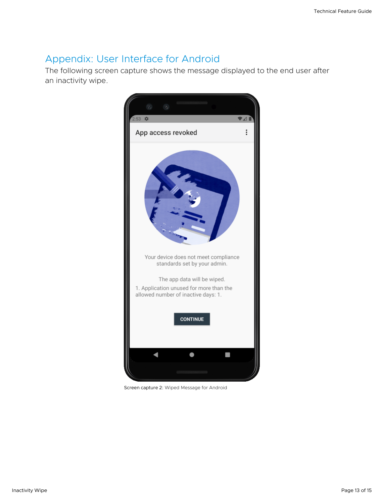## <span id="page-12-0"></span>Appendix: User Interface for Android

The following screen capture shows the message displayed to the end user after an inactivity wipe.



Screen capture 2: Wiped Message for Android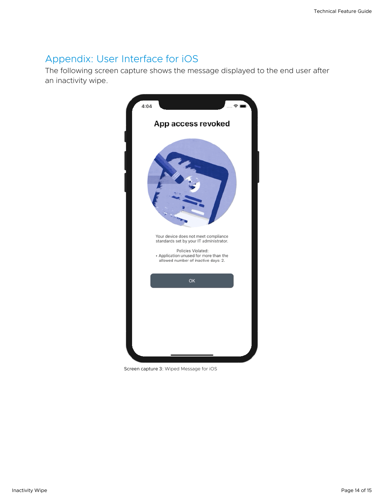## <span id="page-13-0"></span>Appendix: User Interface for iOS

The following screen capture shows the message displayed to the end user after an inactivity wipe.



Screen capture 3: Wiped Message for iOS